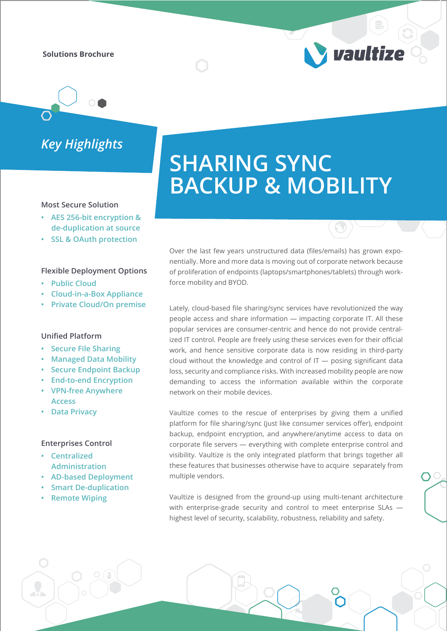**Solutions Brochure**

*Key Highlights*

### **Most Secure Solution**

- **AES 256-bit encryption & de-duplication at source**
- **SSL & OAuth protection**

#### **Flexible Deployment Options**

- **Public Cloud**
- **Cloud-in-a-Box Appliance**
- **Private Cloud/On premise**

## **Unified Platform**

- **Secure File Sharing**
- **Managed Data Mobility**
- **Secure Endpoint Backup**
- **End-to-end Encryption**
- **VPN-free Anywhere**
- **Access • Data Privacy**

## **Enterprises Control**

- **Centralized Administration**
- **AD-based Deployment**
- **Smart De-duplication**
- **Remote Wiping**

# **SHARING SYNC BACKUP & MOBILITY**

*Vaultize* 

Over the last few years unstructured data (files/emails) has grown exponentially. More and more data is moving out of corporate network because of proliferation of endpoints (laptops/smartphones/tablets) through workforce mobility and BYOD.

Lately, cloud-based file sharing/sync services have revolutionized the way people access and share information — impacting corporate IT. All these popular services are consumer-centric and hence do not provide centralized IT control. People are freely using these services even for their official work, and hence sensitive corporate data is now residing in third-party cloud without the knowledge and control of  $IT -$  posing significant data loss, security and compliance risks. With increased mobility people are now demanding to access the information available within the corporate network on their mobile devices.

Vaultize comes to the rescue of enterprises by giving them a unified platform for file sharing/sync (just like consumer services offer), endpoint backup, endpoint encryption, and anywhere/anytime access to data on corporate file servers — everything with complete enterprise control and visibility. Vaultize is the only integrated platform that brings together all these features that businesses otherwise have to acquire separately from multiple vendors.

Vaultize is designed from the ground-up using multi-tenant architecture with enterprise-grade security and control to meet enterprise SLAs highest level of security, scalability, robustness, reliability and safety.

 $\bigcap$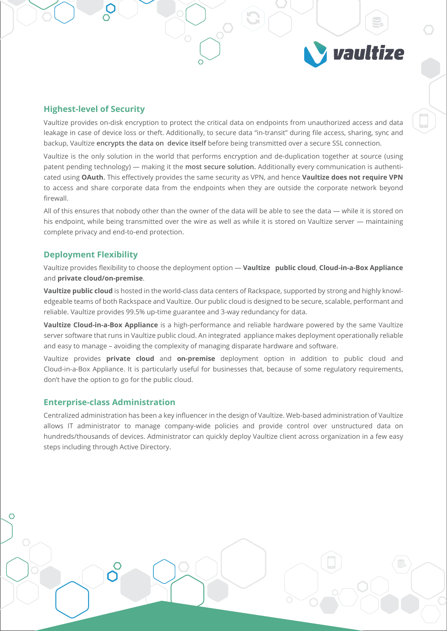# **Highest-level of Security**

Vaultize provides on-disk encryption to protect the critical data on endpoints from unauthorized access and data leakage in case of device loss or theft. Additionally, to secure data "in-transit" during file access, sharing, sync and backup, Vaultize **encrypts the data on device itself** before being transmitted over a secure SSL connection.

vaultize

Vaultize is the only solution in the world that performs encryption and de-duplication together at source (using patent pending technology) — making it the **most secure solution.** Additionally every communication is authenticated using **OAuth.** This effectively provides the same security as VPN, and hence **Vaultize does not require VPN** to access and share corporate data from the endpoints when they are outside the corporate network beyond firewall.

All of this ensures that nobody other than the owner of the data will be able to see the data — while it is stored on his endpoint, while being transmitted over the wire as well as while it is stored on Vaultize server — maintaining complete privacy and end-to-end protection.

## **Deployment Flexibility**

Vaultize provides flexibility to choose the deployment option — **Vaultize public cloud**, **Cloud-in-a-Box Appliance** and **private cloud/on-premise**.

**Vaultize public cloud** is hosted in the world-class data centers of Rackspace, supported by strong and highly knowledgeable teams of both Rackspace and Vaultize. Our public cloud is designed to be secure, scalable, performant and reliable. Vaultize provides 99.5% up-time guarantee and 3-way redundancy for data.

**Vaultize Cloud-in-a-Box Appliance** is a high-performance and reliable hardware powered by the same Vaultize server software that runs in Vaultize public cloud. An integrated appliance makes deployment operationally reliable and easy to manage – avoiding the complexity of managing disparate hardware and software.

Vaultize provides **private cloud** and **on-premise** deployment option in addition to public cloud and Cloud-in-a-Box Appliance. It is particularly useful for businesses that, because of some regulatory requirements, don't have the option to go for the public cloud.

## **Enterprise-class Administration**

 $\overline{\Omega}$ 

Centralized administration has been a key influencer in the design of Vaultize. Web-based administration of Vaultize allows IT administrator to manage company-wide policies and provide control over unstructured data on hundreds/thousands of devices. Administrator can quickly deploy Vaultize client across organization in a few easy steps including through Active Directory.